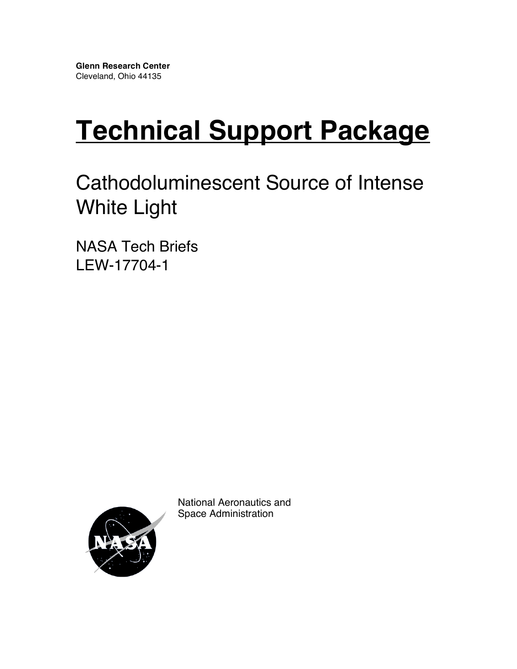# **Technical Support Package**

# Cathodoluminescent Source of Intense White Light

NASA Tech Briefs LEW-17704-1



National Aeronautics and Space Administration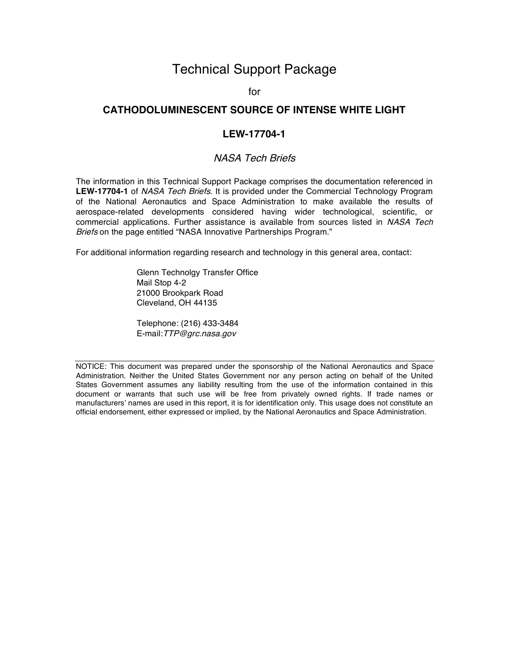# Technical Support Package

for

### **CATHODOLUMINESCENT SOURCE OF INTENSE WHITE LIGHT**

#### **LEW-17704-1**

#### NASA Tech Briefs

The information in this Technical Support Package comprises the documentation referenced in **LEW-17704-1** of NASA Tech Briefs. It is provided under the Commercial Technology Program of the National Aeronautics and Space Administration to make available the results of aerospace-related developments considered having wider technological, scientific, or commercial applications. Further assistance is available from sources listed in NASA Tech Briefs on the page entitled "NASA Innovative Partnerships Program."

For additional information regarding research and technology in this general area, contact:

Glenn Technolgy Transfer Office Mail Stop 4-2 21000 Brookpark Road Cleveland, OH 44135

Telephone: (216) 433-3484 E-mail:TTP@grc.nasa.gov

NOTICE: This document was prepared under the sponsorship of the National Aeronautics and Space Administration. Neither the United States Government nor any person acting on behalf of the United States Government assumes any liability resulting from the use of the information contained in this document or warrants that such use will be free from privately owned rights. If trade names or manufacturers' names are used in this report, it is for identification only. This usage does not constitute an official endorsement, either expressed or implied, by the National Aeronautics and Space Administration.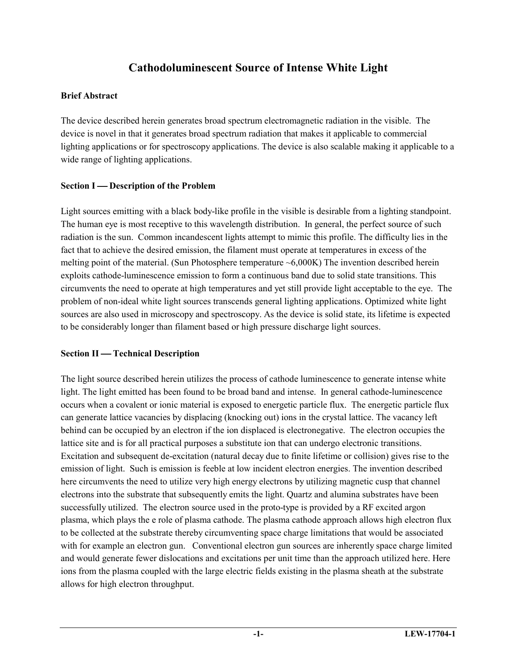# **Cathodoluminescent Source of Intense White Light**

# **Brief Abstract**

The device described herein generates broad spectrum electromagnetic radiation in the visible. The device is novel in that it generates broad spectrum radiation that makes it applicable to commercial lighting applications or for spectroscopy applications. The device is also scalable making it applicable to a wide range of lighting applications.

# **Section I** — Description of the Problem

Light sources emitting with a black body-like profile in the visible is desirable from a lighting standpoint. The human eye is most receptive to this wavelength distribution. In general, the perfect source of such radiation is the sun. Common incandescent lights attempt to mimic this profile. The difficulty lies in the fact that to achieve the desired emission, the filament must operate at temperatures in excess of the melting point of the material. (Sun Photosphere temperature  $\sim 6,000K$ ) The invention described herein exploits cathode-luminescence emission to form a continuous band due to solid state transitions. This circumvents the need to operate at high temperatures and yet still provide light acceptable to the eye. The problem of non-ideal white light sources transcends general lighting applications. Optimized white light sources are also used in microscopy and spectroscopy. As the device is solid state, its lifetime is expected to be considerably longer than filament based or high pressure discharge light sources.

# **Section II** — Technical Description

The light source described herein utilizes the process of cathode luminescence to generate intense white light. The light emitted has been found to be broad band and intense. In general cathode-luminescence occurs when a covalent or ionic material is exposed to energetic particle flux. The energetic particle flux can generate lattice vacancies by displacing (knocking out) ions in the crystal lattice. The vacancy left behind can be occupied by an electron if the ion displaced is electronegative. The electron occupies the lattice site and is for all practical purposes a substitute ion that can undergo electronic transitions. Excitation and subsequent de-excitation (natural decay due to finite lifetime or collision) gives rise to the emission of light. Such is emission is feeble at low incident electron energies. The invention described here circumvents the need to utilize very high energy electrons by utilizing magnetic cusp that channel electrons into the substrate that subsequently emits the light. Quartz and alumina substrates have been successfully utilized. The electron source used in the proto-type is provided by a RF excited argon plasma, which plays the e role of plasma cathode. The plasma cathode approach allows high electron flux to be collected at the substrate thereby circumventing space charge limitations that would be associated with for example an electron gun. Conventional electron gun sources are inherently space charge limited and would generate fewer dislocations and excitations per unit time than the approach utilized here. Here ions from the plasma coupled with the large electric fields existing in the plasma sheath at the substrate allows for high electron throughput.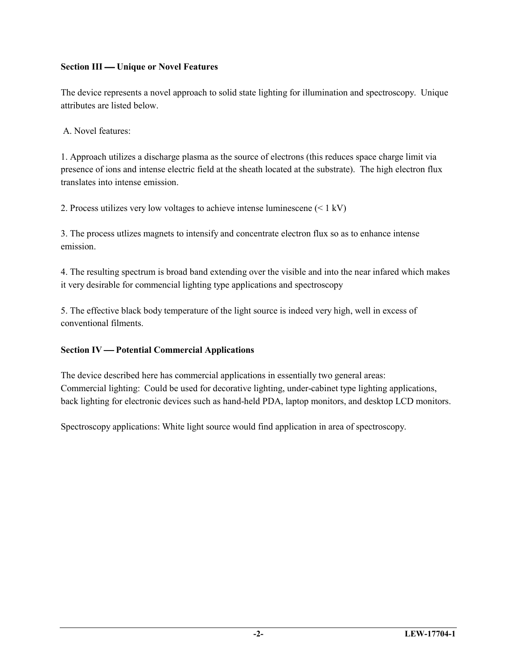# **Section III — Unique or Novel Features**

The device represents a novel approach to solid state lighting for illumination and spectroscopy. Unique attributes are listed below.

A. Novel features:

1. Approach utilizes a discharge plasma as the source of electrons (this reduces space charge limit via presence of ions and intense electric field at the sheath located at the substrate). The high electron flux translates into intense emission.

2. Process utilizes very low voltages to achieve intense luminescene (< 1 kV)

3. The process utlizes magnets to intensify and concentrate electron flux so as to enhance intense emission.

4. The resulting spectrum is broad band extending over the visible and into the near infared which makes it very desirable for commencial lighting type applications and spectroscopy

5. The effective black body temperature of the light source is indeed very high, well in excess of conventional filments.

# **Section IV Potential Commercial Applications**

The device described here has commercial applications in essentially two general areas: Commercial lighting: Could be used for decorative lighting, under-cabinet type lighting applications, back lighting for electronic devices such as hand-held PDA, laptop monitors, and desktop LCD monitors.

Spectroscopy applications: White light source would find application in area of spectroscopy.